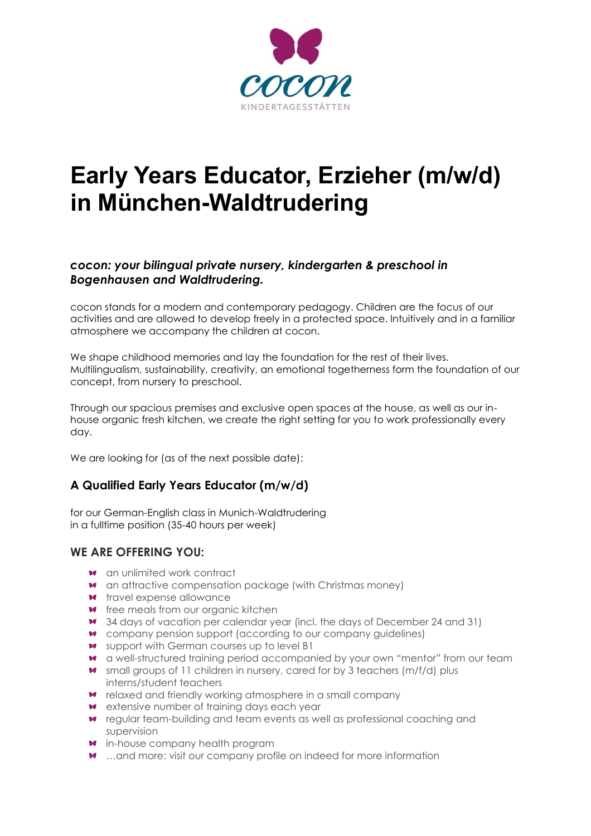

# **Early Years Educator, Erzieher (m/w/d) in München-Waldtrudering**

## *cocon: your bilingual private nursery, kindergarten & preschool in Bogenhausen and Waldtrudering.*

cocon stands for a modern and contemporary pedagogy. Children are the focus of our activities and are allowed to develop freely in a protected space. Intuitively and in a familiar atmosphere we accompany the children at cocon.

We shape childhood memories and lay the foundation for the rest of their lives. Multilingualism, sustainability, creativity, an emotional togetherness form the foundation of our concept, from nursery to preschool.

Through our spacious premises and exclusive open spaces at the house, as well as our inhouse organic fresh kitchen, we create the right setting for you to work professionally every day.

We are looking for (as of the next possible date):

# **A Qualified Early Years Educator (m/w/d)**

for our German-English class in Munich-Waldtrudering in a fulltime position (35-40 hours per week)

#### **WE ARE OFFERING YOU:**

- **\*\*** an unlimited work contract
- **\*** an attractive compensation package (with Christmas money)
- **\*\*** travel expense allowance
- **\*** free meals from our organic kitchen
- 34 days of vacation per calendar year (incl. the days of December 24 and 31)
- company pension support (according to our company guidelines)
- **\*** support with German courses up to level B1
- a well-structured training period accompanied by your own "mentor" from our team
- \* small groups of 11 children in nursery, cared for by 3 teachers (m/f/d) plus interns/student teachers
- relaxed and friendly working atmosphere in a small company
- **\*** extensive number of training days each year
- regular team-building and team events as well as professional coaching and supervision
- **\*** in-house company health program
- **\*** ...and more: visit our company profile on indeed for more information